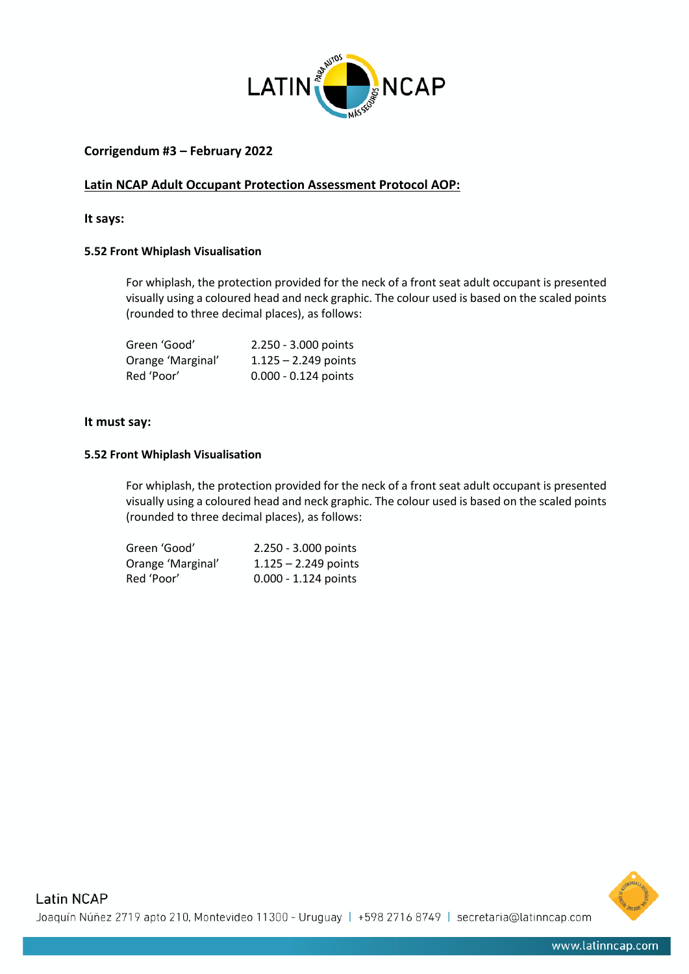

# **Corrigendum #3 – February 2022**

## **Latin NCAP Adult Occupant Protection Assessment Protocol AOP:**

## **It says:**

#### **5.52 Front Whiplash Visualisation**

For whiplash, the protection provided for the neck of a front seat adult occupant is presented visually using a coloured head and neck graphic. The colour used is based on the scaled points (rounded to three decimal places), as follows:

| Green 'Good'      | 2.250 - 3.000 points   |
|-------------------|------------------------|
| Orange 'Marginal' | $1.125 - 2.249$ points |
| Red 'Poor'        | 0.000 - 0.124 points   |

## **It must say:**

#### **5.52 Front Whiplash Visualisation**

For whiplash, the protection provided for the neck of a front seat adult occupant is presented visually using a coloured head and neck graphic. The colour used is based on the scaled points (rounded to three decimal places), as follows:

| Green 'Good'      | 2.250 - 3.000 points   |
|-------------------|------------------------|
| Orange 'Marginal' | $1.125 - 2.249$ points |
| Red 'Poor'        | $0.000 - 1.124$ points |

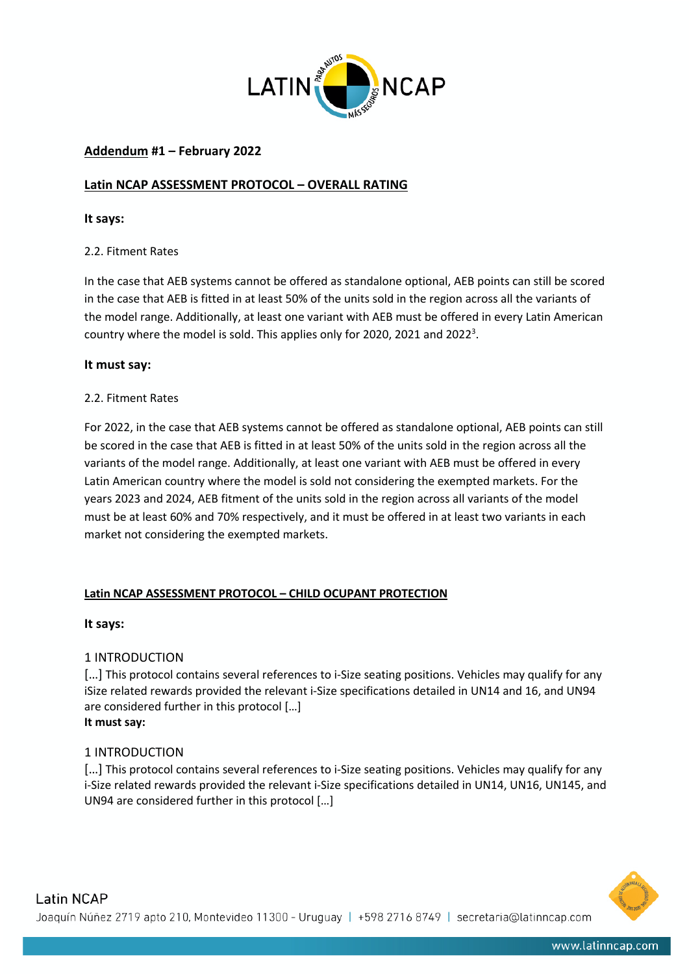

# **Addendum #1 – February 2022**

# **Latin NCAP ASSESSMENT PROTOCOL – OVERALL RATING**

## **It says:**

# 2.2. Fitment Rates

In the case that AEB systems cannot be offered as standalone optional, AEB points can still be scored in the case that AEB is fitted in at least 50% of the units sold in the region across all the variants of the model range. Additionally, at least one variant with AEB must be offered in every Latin American country where the model is sold. This applies only for 2020, 2021 and 2022<sup>3</sup>.

## **It must say:**

## 2.2. Fitment Rates

For 2022, in the case that AEB systems cannot be offered as standalone optional, AEB points can still be scored in the case that AEB is fitted in at least 50% of the units sold in the region across all the variants of the model range. Additionally, at least one variant with AEB must be offered in every Latin American country where the model is sold not considering the exempted markets. For the years 2023 and 2024, AEB fitment of the units sold in the region across all variants of the model must be at least 60% and 70% respectively, and it must be offered in at least two variants in each market not considering the exempted markets.

# **Latin NCAP ASSESSMENT PROTOCOL – CHILD OCUPANT PROTECTION**

#### **It says:**

# 1 INTRODUCTION

[...] This protocol contains several references to i-Size seating positions. Vehicles may qualify for any iSize related rewards provided the relevant i-Size specifications detailed in UN14 and 16, and UN94 are considered further in this protocol […] **It must say:**

# 1 INTRODUCTION

[...] This protocol contains several references to i-Size seating positions. Vehicles may qualify for any i-Size related rewards provided the relevant i-Size specifications detailed in UN14, UN16, UN145, and UN94 are considered further in this protocol […]

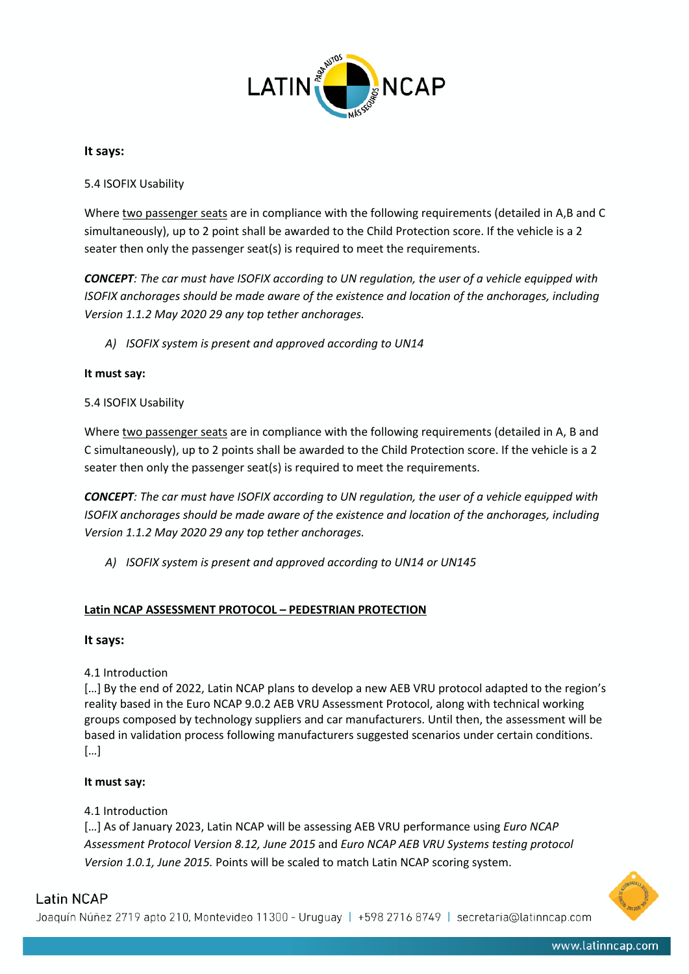

## **It says:**

5.4 ISOFIX Usability

Where two passenger seats are in compliance with the following requirements (detailed in A,B and C simultaneously), up to 2 point shall be awarded to the Child Protection score. If the vehicle is a 2 seater then only the passenger seat(s) is required to meet the requirements.

*CONCEPT: The car must have ISOFIX according to UN regulation, the user of a vehicle equipped with ISOFIX anchorages should be made aware of the existence and location of the anchorages, including Version 1.1.2 May 2020 29 any top tether anchorages.* 

*A) ISOFIX system is present and approved according to UN14*

## **It must say:**

## 5.4 ISOFIX Usability

Where two passenger seats are in compliance with the following requirements (detailed in A, B and C simultaneously), up to 2 points shall be awarded to the Child Protection score. If the vehicle is a 2 seater then only the passenger seat(s) is required to meet the requirements.

*CONCEPT: The car must have ISOFIX according to UN regulation, the user of a vehicle equipped with ISOFIX anchorages should be made aware of the existence and location of the anchorages, including Version 1.1.2 May 2020 29 any top tether anchorages.* 

*A) ISOFIX system is present and approved according to UN14 or UN145*

# **Latin NCAP ASSESSMENT PROTOCOL – PEDESTRIAN PROTECTION**

# **It says:**

# 4.1 Introduction

[...] By the end of 2022, Latin NCAP plans to develop a new AEB VRU protocol adapted to the region's reality based in the Euro NCAP 9.0.2 AEB VRU Assessment Protocol, along with technical working groups composed by technology suppliers and car manufacturers. Until then, the assessment will be based in validation process following manufacturers suggested scenarios under certain conditions. […]

# **It must say:**

# 4.1 Introduction

[…] As of January 2023, Latin NCAP will be assessing AEB VRU performance using *Euro NCAP Assessment Protocol Version 8.12, June 2015* and *Euro NCAP AEB VRU Systems testing protocol Version 1.0.1, June 2015.* Points will be scaled to match Latin NCAP scoring system.



# Latin NCAP

Joaquín Núñez 2719 apto 210, Montevideo 11300 - Uruguay | +598 2716 8749 | secretaria@latinncap.com